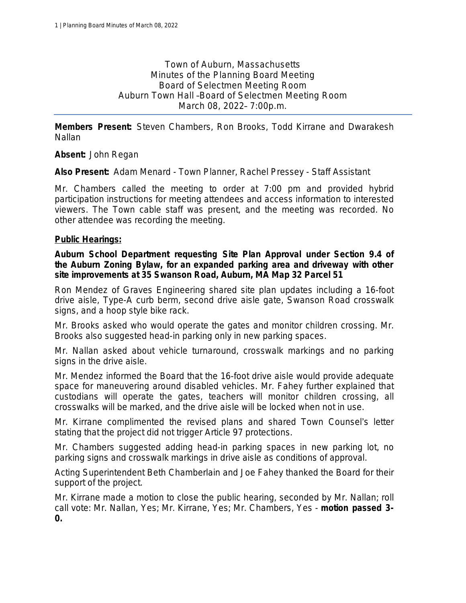Town of Auburn, Massachusetts Minutes of the Planning Board Meeting Board of Selectmen Meeting Room Auburn Town Hall –Board of Selectmen Meeting Room March 08, 2022– 7:00p.m.

**Members Present:** Steven Chambers, Ron Brooks, Todd Kirrane and Dwarakesh Nallan

**Absent:** John Regan

**Also Present:** Adam Menard - Town Planner, Rachel Pressey - Staff Assistant

Mr. Chambers called the meeting to order at 7:00 pm and provided hybrid participation instructions for meeting attendees and access information to interested viewers. The Town cable staff was present, and the meeting was recorded. No other attendee was recording the meeting.

#### **Public Hearings:**

**Auburn School Department requesting Site Plan Approval under Section 9.4 of the Auburn Zoning Bylaw, for an expanded parking area and driveway with other site improvements at 35 Swanson Road, Auburn, MA Map 32 Parcel 51**

Ron Mendez of Graves Engineering shared site plan updates including a 16-foot drive aisle, Type-A curb berm, second drive aisle gate, Swanson Road crosswalk signs, and a hoop style bike rack.

Mr. Brooks asked who would operate the gates and monitor children crossing. Mr. Brooks also suggested head-in parking only in new parking spaces.

Mr. Nallan asked about vehicle turnaround, crosswalk markings and no parking signs in the drive aisle.

Mr. Mendez informed the Board that the 16-foot drive aisle would provide adequate space for maneuvering around disabled vehicles. Mr. Fahey further explained that custodians will operate the gates, teachers will monitor children crossing, all crosswalks will be marked, and the drive aisle will be locked when not in use.

Mr. Kirrane complimented the revised plans and shared Town Counsel's letter stating that the project did not trigger Article 97 protections.

Mr. Chambers suggested adding head-in parking spaces in new parking lot, no parking signs and crosswalk markings in drive aisle as conditions of approval.

Acting Superintendent Beth Chamberlain and Joe Fahey thanked the Board for their support of the project.

Mr. Kirrane made a motion to close the public hearing, seconded by Mr. Nallan; *roll call vote: Mr. Nallan, Yes; Mr. Kirrane, Yes; Mr. Chambers, Yes* - *motion passed 3- 0.*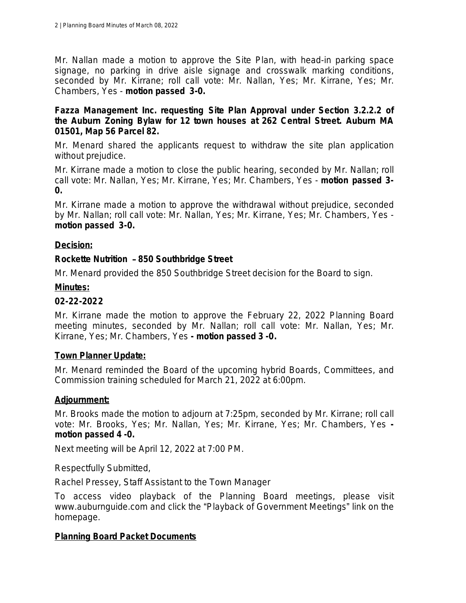Mr. Nallan made a motion to approve the Site Plan, with head-in parking space signage, no parking in drive aisle signage and crosswalk marking conditions, seconded by Mr. Kirrane; *roll call vote: Mr. Nallan, Yes; Mr. Kirrane, Yes; Mr. Chambers, Yes* - *motion passed 3-0.*

#### **Fazza Management Inc. requesting Site Plan Approval under Section 3.2.2.2 of the Auburn Zoning Bylaw for 12 town houses at 262 Central Street. Auburn MA 01501, Map 56 Parcel 82.**

Mr. Menard shared the applicants request to withdraw the site plan application without prejudice.

Mr. Kirrane made a motion to close the public hearing, seconded by Mr. Nallan; *roll call vote: Mr. Nallan, Yes; Mr. Kirrane, Yes; Mr. Chambers, Yes* - *motion passed 3- 0.*

Mr. Kirrane made a motion to approve the withdrawal without prejudice, seconded by Mr. Nallan; *roll call vote: Mr. Nallan, Yes; Mr. Kirrane, Yes; Mr. Chambers, Yes motion passed 3-0.*

## **Decision:**

# **Rockette Nutrition** – **850 Southbridge Street**

Mr. Menard provided the 850 Southbridge Street decision for the Board to sign.

## **Minutes:**

## **02-22-2022**

Mr. Kirrane made the motion to approve the February 22, 2022 Planning Board meeting minutes, seconded by Mr. Nallan; *roll call vote: Mr. Nallan, Yes; Mr. Kirrane, Yes; Mr. Chambers, Yes - motion passed 3 -0.*

## **Town Planner Update:**

Mr. Menard reminded the Board of the upcoming hybrid Boards, Committees, and Commission training scheduled for March 21, 2022 at 6:00pm.

## **Adjournment:**

Mr. Brooks made the motion to adjourn at 7:25pm, seconded by Mr. Kirrane; *roll call vote: Mr. Brooks, Yes; Mr. Nallan, Yes; Mr. Kirrane, Yes; Mr. Chambers, Yes motion passed 4 -0.*

Next meeting will be April 12, 2022 at 7:00 PM.

Respectfully Submitted,

Rachel Pressey, Staff Assistant to the Town Manager

To access video playback of the Planning Board meetings, please visit www.auburnguide.com and click the "Playback of Government Meetings" link on the homepage.

## **Planning Board Packet Documents**